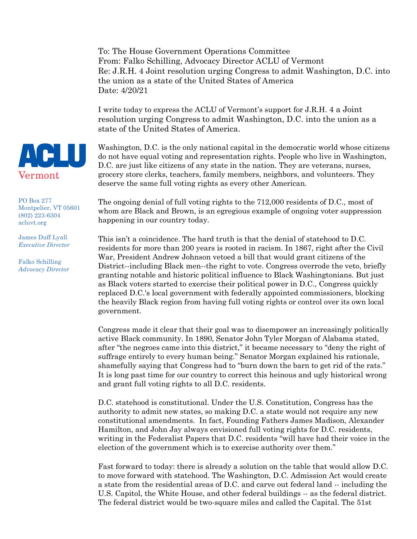To: The House Government Operations Committee From: Falko Schilling, Advocacy Director ACLU of Vermont Re: J.R.H. 4 Joint resolution urging Congress to admit Washington, D.C. into the union as a state of the United States of America Date: 4/20/21

I write today to express the ACLU of Vermont's support for J.R.H. 4 a Joint resolution urging Congress to admit Washington, D.C. into the union as a state of the United States of America.

Washington, D.C. is the only national capital in the democratic world whose citizens do not have equal voting and representation rights. People who live in Washington, D.C. are just like citizens of any state in the nation. They are veterans, nurses, grocery store clerks, teachers, family members, neighbors, and volunteers. They deserve the same full voting rights as every other American.

The ongoing denial of full voting rights to the 712,000 residents of D.C., most of whom are Black and Brown, is an egregious example of ongoing voter suppression happening in our country today.

This isn't a coincidence. The hard truth is that the denial of statehood to D.C. residents for more than 200 years is rooted in racism. In 1867, right after the Civil War, President Andrew Johnson vetoed a bill that would grant citizens of the District--including Black men--the right to vote. Congress overrode the veto, briefly granting notable and historic political influence to Black Washingtonians. But just as Black voters started to exercise their political power in D.C., Congress quickly replaced D.C.'s local government with federally appointed commissioners, blocking the heavily Black region from having full voting rights or control over its own local government.

Congress made it clear that their goal was to disempower an increasingly politically active Black community. In 1890, Senator John Tyler Morgan of Alabama stated, after "the negroes came into this district," it became necessary to "deny the right of suffrage entirely to every human being." Senator Morgan explained his rationale, shamefully saying that Congress had to "burn down the barn to get rid of the rats." It is long past time for our country to correct this heinous and ugly historical wrong and grant full voting rights to all D.C. residents.

D.C. statehood is constitutional. Under the U.S. Constitution, Congress has the authority to admit new states, so making D.C. a state would not require any new constitutional amendments. In fact, Founding Fathers James Madison, Alexander Hamilton, and John Jay always envisioned full voting rights for D.C. residents, writing in the Federalist Papers that D.C. residents "will have had their voice in the election of the government which is to exercise authority over them."

Fast forward to today: there is already a solution on the table that would allow D.C. to move forward with statehood. The Washington, D.C. Admission Act would create a state from the residential areas of D.C. and carve out federal land -- including the U.S. Capitol, the White House, and other federal buildings -- as the federal district. The federal district would be two-square miles and called the Capital. The 51st



PO Box 277 Montpelier, VT 05601 (802) 223-6304 acluvt.org

James Duff Lyall *Executive Director*

Falko Schilling *Advocacy Director*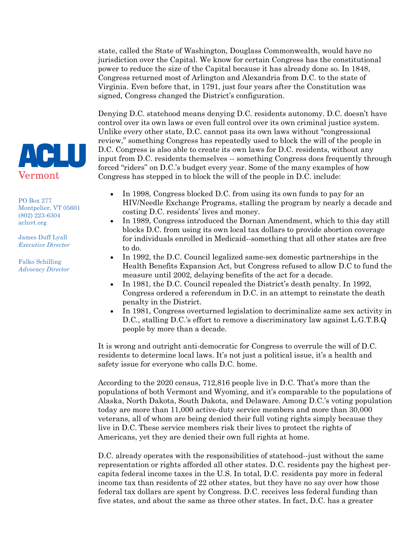state, called the State of Washington, Douglass Commonwealth, would have no jurisdiction over the Capital. We know for certain Congress has the constitutional power to reduce the size of the Capital because it has already done so. In 1848, Congress returned most of Arlington and Alexandria from D.C. to the state of Virginia. Even before that, in 1791, just four years after the Constitution was signed, Congress changed the District's configuration.

Denying D.C. statehood means denying D.C. residents autonomy. D.C. doesn't have control over its own laws or even full control over its own criminal justice system. Unlike every other state, D.C. cannot pass its own laws without "congressional review," something Congress has repeatedly used to block the will of the people in D.C. Congress is also able to create its own laws for D.C. residents, without any input from D.C. residents themselves -- something Congress does frequently through forced "riders" on D.C.'s budget every year. Some of the many examples of how Congress has stepped in to block the will of the people in D.C. include:

PO Box 277 Montpelier, VT 05601 (802) 223-6304

Vermont

**ACLU** 

James Duff Lyall *Executive Director*

acluvt.org

Falko Schilling *Advocacy Director* 

- In 1998, Congress blocked D.C. from using its own funds to pay for an HIV/Needle Exchange Programs, stalling the program by nearly a decade and costing D.C. residents' lives and money.
- In 1989, Congress introduced the Dornan Amendment, which to this day still blocks D.C. from using its own local tax dollars to provide abortion coverage for individuals enrolled in Medicaid--something that all other states are free to do.
- In 1992, the D.C. Council legalized same-sex domestic partnerships in the Health Benefits Expansion Act, but Congress refused to allow D.C to fund the measure until 2002, delaying benefits of the act for a decade.
- In 1981, the D.C. Council repealed the District's death penalty. In 1992, Congress ordered a referendum in D.C. in an attempt to reinstate the death penalty in the District.
- In 1981, Congress overturned legislation to decriminalize same sex activity in D.C., stalling D.C.'s effort to remove a discriminatory law against L.G.T.B.Q people by more than a decade.

It is wrong and outright anti-democratic for Congress to overrule the will of D.C. residents to determine local laws. It's not just a political issue, it's a health and safety issue for everyone who calls D.C. home.

According to the 2020 census, 712,816 people live in D.C. That's more than the populations of both Vermont and Wyoming, and it's comparable to the populations of Alaska, North Dakota, South Dakota, and Delaware. Among D.C.'s voting population today are more than 11,000 active-duty service members and more than 30,000 veterans, all of whom are being denied their full voting rights simply because they live in D.C. These service members risk their lives to protect the rights of Americans, yet they are denied their own full rights at home.

D.C. already operates with the responsibilities of statehood--just without the same representation or rights afforded all other states. D.C. residents pay the highest percapita federal income taxes in the U.S. In total, D.C. residents pay more in federal income tax than residents of 22 other states, but they have no say over how those federal tax dollars are spent by Congress. D.C. receives less federal funding than five states, and about the same as three other states. In fact, D.C. has a greater